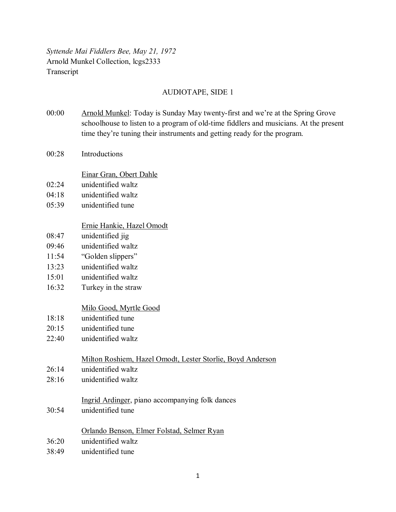*Syttende Mai Fiddlers Bee, May 21, 1972* Arnold Munkel Collection, lcgs2333 Transcript

## AUDIOTAPE, SIDE 1

- 00:00 Arnold Munkel: Today is Sunday May twenty-first and we're at the Spring Grove schoolhouse to listen to a program of old-time fiddlers and musicians. At the present time they're tuning their instruments and getting ready for the program.
- 00:28 Introductions

Einar Gran, Obert Dahle

- 02:24 unidentified waltz
- 04:18 unidentified waltz
- 05:39 unidentified tune

Ernie Hankie, Hazel Omodt

- 08:47 unidentified jig
- 09:46 unidentified waltz
- 11:54 "Golden slippers"
- 13:23 unidentified waltz
- 15:01 unidentified waltz
- 16:32 Turkey in the straw

## Milo Good, Myrtle Good

- 18:18 unidentified tune
- 20:15 unidentified tune
- 22:40 unidentified waltz

# Milton Roshiem, Hazel Omodt, Lester Storlie, Boyd Anderson

- 26:14 unidentified waltz
- 28:16 unidentified waltz

# Ingrid Ardinger, piano accompanying folk dances

30:54 unidentified tune

|--|

- 36:20 unidentified waltz
- 38:49 unidentified tune